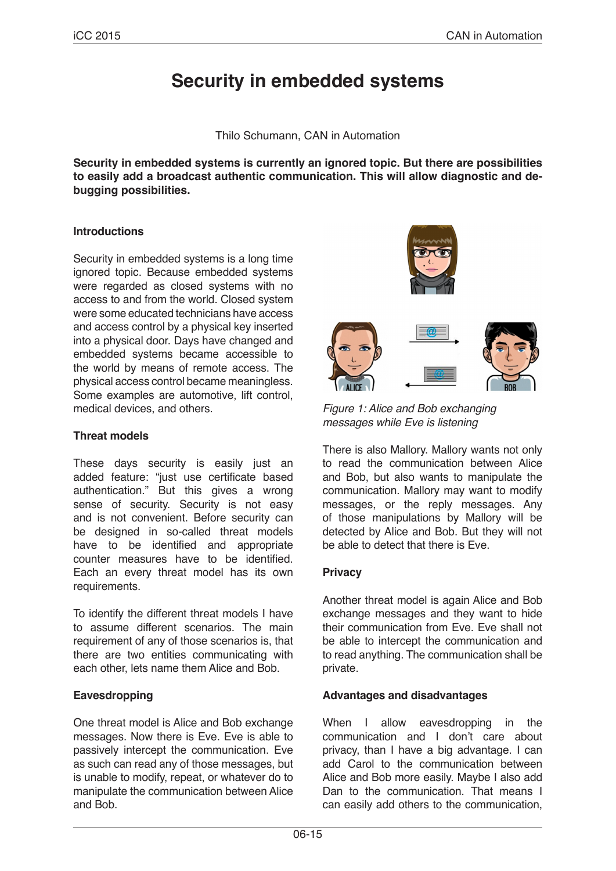# **Security in embedded systems**

#### Thilo Schumann, CAN in Automation

**Security in embedded systems is currently an ignored topic. But there are possibilities to easily add a broadcast authentic communication. This will allow diagnostic and debugging possibilities.**

#### **Introductions**

Security in embedded systems is a long time ignored topic. Because embedded systems were regarded as closed systems with no access to and from the world. Closed system were some educated technicians have access and access control by a physical key inserted into a physical door. Days have changed and embedded systems became accessible to the world by means of remote access. The physical access control became meaningless. Some examples are automotive, lift control, medical devices, and others.

## **Threat models**

These days security is easily just an added feature: "just use certificate based authentication." But this gives a wrong sense of security. Security is not easy and is not convenient. Before security can be designed in so-called threat models have to be identified and appropriate counter measures have to be identified. Each an every threat model has its own requirements.

To identify the different threat models I have to assume different scenarios. The main requirement of any of those scenarios is, that there are two entities communicating with each other, lets name them Alice and Bob.

## **Eavesdropping**

One threat model is Alice and Bob exchange messages. Now there is Eve. Eve is able to passively intercept the communication. Eve as such can read any of those messages, but is unable to modify, repeat, or whatever do to manipulate the communication between Alice and Bob.





*Figure 1: Alice and Bob exchanging messages while Eve is listening*

There is also Mallory. Mallory wants not only to read the communication between Alice and Bob, but also wants to manipulate the communication. Mallory may want to modify messages, or the reply messages. Any of those manipulations by Mallory will be detected by Alice and Bob. But they will not be able to detect that there is Eve.

## **Privacy**

Another threat model is again Alice and Bob exchange messages and they want to hide their communication from Eve. Eve shall not be able to intercept the communication and to read anything. The communication shall be private.

#### **Advantages and disadvantages**

When I allow eavesdropping in the communication and I don't care about privacy, than I have a big advantage. I can add Carol to the communication between Alice and Bob more easily. Maybe I also add Dan to the communication. That means I can easily add others to the communication,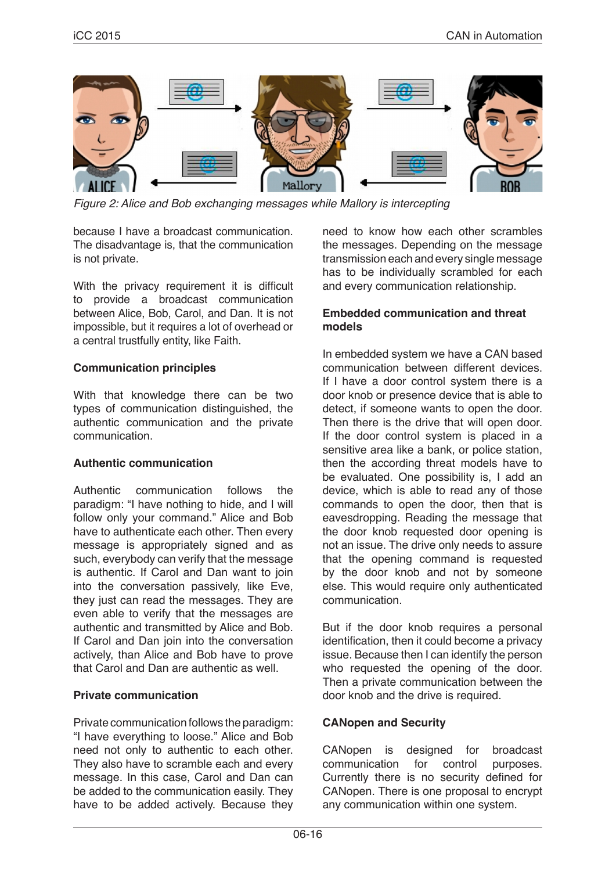

*Figure 2: Alice and Bob exchanging messages while Mallory is intercepting*

because I have a broadcast communication. The disadvantage is, that the communication is not private.

With the privacy requirement it is difficult to provide a broadcast communication between Alice, Bob, Carol, and Dan. It is not impossible, but it requires a lot of overhead or a central trustfully entity, like Faith.

## **Communication principles**

With that knowledge there can be two types of communication distinguished, the authentic communication and the private communication.

## **Authentic communication**

Authentic communication follows the paradigm: "I have nothing to hide, and I will follow only your command." Alice and Bob have to authenticate each other. Then every message is appropriately signed and as such, everybody can verify that the message is authentic. If Carol and Dan want to join into the conversation passively, like Eve, they just can read the messages. They are even able to verify that the messages are authentic and transmitted by Alice and Bob. If Carol and Dan join into the conversation actively, than Alice and Bob have to prove that Carol and Dan are authentic as well.

## **Private communication**

Private communication follows the paradigm: "I have everything to loose." Alice and Bob need not only to authentic to each other. They also have to scramble each and every message. In this case, Carol and Dan can be added to the communication easily. They have to be added actively. Because they need to know how each other scrambles the messages. Depending on the message transmission each and every single message has to be individually scrambled for each and every communication relationship.

#### **Embedded communication and threat models**

In embedded system we have a CAN based communication between different devices. If I have a door control system there is a door knob or presence device that is able to detect, if someone wants to open the door. Then there is the drive that will open door. If the door control system is placed in a sensitive area like a bank, or police station, then the according threat models have to be evaluated. One possibility is, I add an device, which is able to read any of those commands to open the door, then that is eavesdropping. Reading the message that the door knob requested door opening is not an issue. The drive only needs to assure that the opening command is requested by the door knob and not by someone else. This would require only authenticated communication.

But if the door knob requires a personal identification, then it could become a privacy issue. Because then I can identify the person who requested the opening of the door. Then a private communication between the door knob and the drive is required.

## **CANopen and Security**

CANopen is designed for broadcast communication for control purposes. Currently there is no security defined for CANopen. There is one proposal to encrypt any communication within one system.